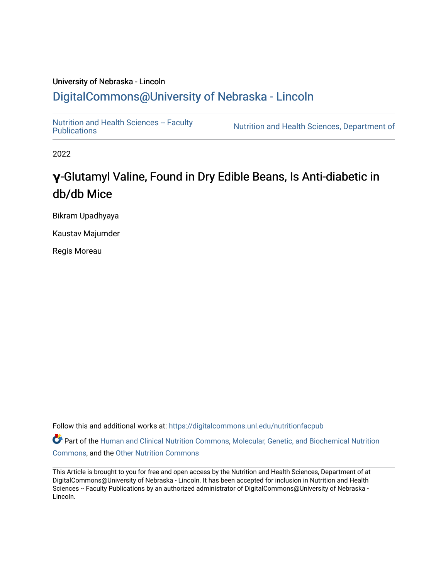## University of Nebraska - Lincoln [DigitalCommons@University of Nebraska - Lincoln](https://digitalcommons.unl.edu/)

Nutrition and Health Sciences -- Faculty<br>Publications

Nutrition and Health Sciences, Department of

2022

## **γ**-Glutamyl Valine, Found in Dry Edible Beans, Is Anti-diabetic in db/db Mice

Bikram Upadhyaya

Kaustav Majumder

Regis Moreau

Follow this and additional works at: [https://digitalcommons.unl.edu/nutritionfacpub](https://digitalcommons.unl.edu/nutritionfacpub?utm_source=digitalcommons.unl.edu%2Fnutritionfacpub%2F293&utm_medium=PDF&utm_campaign=PDFCoverPages) 

Part of the [Human and Clinical Nutrition Commons](https://network.bepress.com/hgg/discipline/97?utm_source=digitalcommons.unl.edu%2Fnutritionfacpub%2F293&utm_medium=PDF&utm_campaign=PDFCoverPages), Molecular, Genetic, and Biochemical Nutrition [Commons](https://network.bepress.com/hgg/discipline/99?utm_source=digitalcommons.unl.edu%2Fnutritionfacpub%2F293&utm_medium=PDF&utm_campaign=PDFCoverPages), and the [Other Nutrition Commons](https://network.bepress.com/hgg/discipline/101?utm_source=digitalcommons.unl.edu%2Fnutritionfacpub%2F293&utm_medium=PDF&utm_campaign=PDFCoverPages)

This Article is brought to you for free and open access by the Nutrition and Health Sciences, Department of at DigitalCommons@University of Nebraska - Lincoln. It has been accepted for inclusion in Nutrition and Health Sciences -- Faculty Publications by an authorized administrator of DigitalCommons@University of Nebraska -Lincoln.